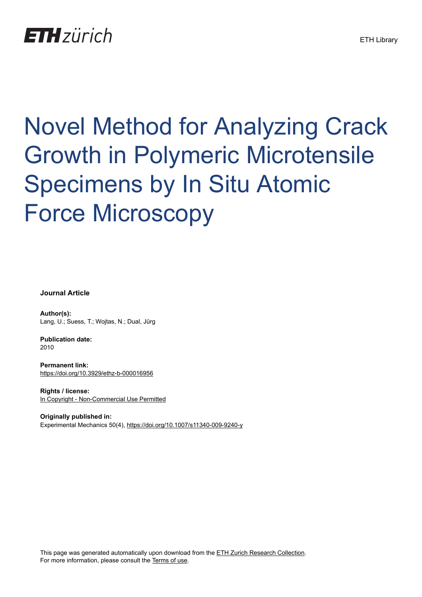## **ETH** zürich

# Novel Method for Analyzing Crack Growth in Polymeric Microtensile Specimens by In Situ Atomic Force Microscopy

**Journal Article**

**Author(s):** Lang, U.; Suess, T.; Wojtas, N.; Dual, Jürg

**Publication date:** 2010

**Permanent link:** <https://doi.org/10.3929/ethz-b-000016956>

**Rights / license:** [In Copyright - Non-Commercial Use Permitted](http://rightsstatements.org/page/InC-NC/1.0/)

**Originally published in:** Experimental Mechanics 50(4), <https://doi.org/10.1007/s11340-009-9240-y>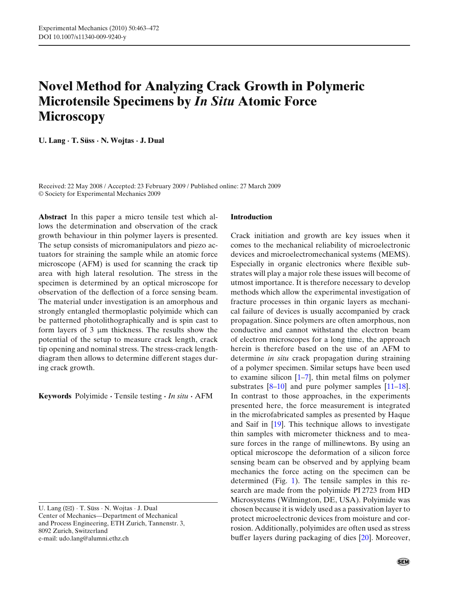### **Novel Method for Analyzing Crack Growth in Polymeric Microtensile Specimens by** *In Situ* **Atomic Force Microscopy**

**U. Lang · T. Süss · N. Wojtas · J. Dual**

Received: 22 May 2008 / Accepted: 23 February 2009 / Published online: 27 March 2009 © Society for Experimental Mechanics 2009

**Abstract** In this paper a micro tensile test which allows the determination and observation of the crack growth behaviour in thin polymer layers is presented. The setup consists of micromanipulators and piezo actuators for straining the sample while an atomic force microscope (AFM) is used for scanning the crack tip area with high lateral resolution. The stress in the specimen is determined by an optical microscope for observation of the deflection of a force sensing beam. The material under investigation is an amorphous and strongly entangled thermoplastic polyimide which can be patterned photolithographically and is spin cast to form layers of 3 μm thickness. The results show the potential of the setup to measure crack length, crack tip opening and nominal stress. The stress-crack lengthdiagram then allows to determine different stages during crack growth.

**Keywords** Polyimide **·** Tensile testing **·** *In situ* **·** AFM

U. Lang (B) · T. Süss · N. Wojtas · J. Dual Center of Mechanics—Department of Mechanical and Process Engineering, ETH Zurich, Tannenstr. 3, 8092 Zurich, Switzerland e-mail: udo.lang@alumni.ethz.ch

#### **Introduction**

Crack initiation and growth are key issues when it comes to the mechanical reliability of microelectronic devices and microelectromechanical systems (MEMS). Especially in organic electronics where flexible substrates will play a major role these issues will become of utmost importance. It is therefore necessary to develop methods which allow the experimental investigation of fracture processes in thin organic layers as mechanical failure of devices is usually accompanied by crack propagation. Since polymers are often amorphous, non conductive and cannot withstand the electron beam of electron microscopes for a long time, the approach herein is therefore based on the use of an AFM to determine *in situ* crack propagation during straining of a polymer specimen. Similar setups have been used to examine silicon  $[1-7]$ , thin metal films on polymer substrates [\[8–10](#page-9-0)] and pure polymer samples [\[11](#page-9-0)[–18](#page-10-0)]. In contrast to those approaches, in the experiments presented here, the force measurement is integrated in the microfabricated samples as presented by Haque and Saif in [\[19](#page-10-0)]. This technique allows to investigate thin samples with micrometer thickness and to measure forces in the range of millinewtons. By using an optical microscope the deformation of a silicon force sensing beam can be observed and by applying beam mechanics the force acting on the specimen can be determined (Fig. [1\)](#page-2-0). The tensile samples in this research are made from the polyimide PI 2723 from HD Microsystems (Wilmington, DE, USA). Polyimide was chosen because it is widely used as a passivation layer to protect microelectronic devices from moisture and corrosion. Additionally, polyimides are often used as stress buffer layers during packaging of dies [\[20](#page-10-0)]. Moreover,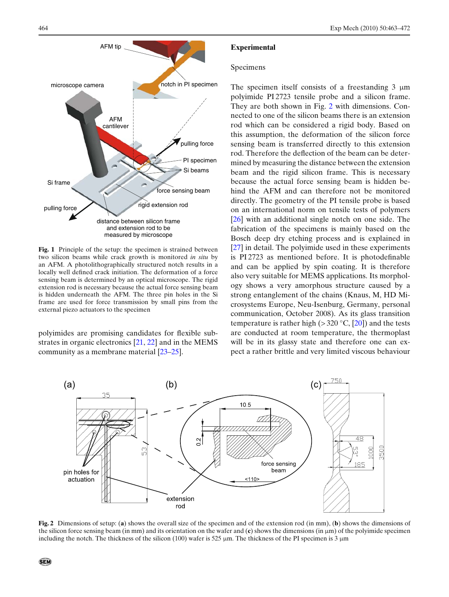<span id="page-2-0"></span>

**Fig. 1** Principle of the setup: the specimen is strained between two silicon beams while crack growth is monitored *in situ* by an AFM. A photolithographically structured notch results in a locally well defined crack initiation. The deformation of a force sensing beam is determined by an optical microscope. The rigid extension rod is necessary because the actual force sensing beam is hidden underneath the AFM. The three pin holes in the Si frame are used for force transmission by small pins from the external piezo actuators to the specimen

polyimides are promising candidates for flexible substrates in organic electronics [\[21](#page-10-0), [22](#page-10-0)] and in the MEMS community as a membrane material [\[23–25](#page-10-0)].

#### **Experimental**

#### Specimens

The specimen itself consists of a freestanding  $3 \mu m$ polyimide PI 2723 tensile probe and a silicon frame. They are both shown in Fig. 2 with dimensions. Connected to one of the silicon beams there is an extension rod which can be considered a rigid body. Based on this assumption, the deformation of the silicon force sensing beam is transferred directly to this extension rod. Therefore the deflection of the beam can be determined by measuring the distance between the extension beam and the rigid silicon frame. This is necessary because the actual force sensing beam is hidden behind the AFM and can therefore not be monitored directly. The geometry of the PI tensile probe is based on an international norm on tensile tests of polymers [\[26](#page-10-0)] with an additional single notch on one side. The fabrication of the specimens is mainly based on the Bosch deep dry etching process and is explained in [\[27](#page-10-0)] in detail. The polyimide used in these experiments is PI 2723 as mentioned before. It is photodefinable and can be applied by spin coating. It is therefore also very suitable for MEMS applications. Its morphology shows a very amorphous structure caused by a strong entanglement of the chains (Knaus, M, HD Microsystems Europe, Neu-Isenburg, Germany, personal communication, October 2008). As its glass transition temperature is rather high ( $>$  320 °C, [\[20](#page-10-0)]) and the tests are conducted at room temperature, the thermoplast will be in its glassy state and therefore one can expect a rather brittle and very limited viscous behaviour



**Fig. 2** Dimensions of setup: (**a**) shows the overall size of the specimen and of the extension rod (in mm), (**b**) shows the dimensions of the silicon force sensing beam (in mm) and its orientation on the wafer and (**c**) shows the dimensions (in μm) of the polyimide specimen including the notch. The thickness of the silicon (100) wafer is 525  $\mu$ m. The thickness of the PI specimen is 3  $\mu$ m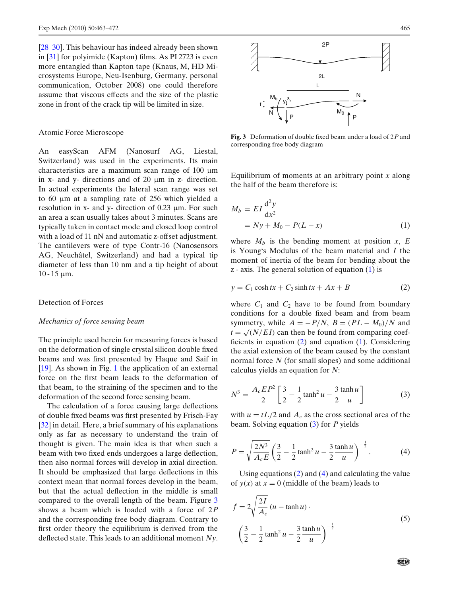<span id="page-3-0"></span>[\[28–30](#page-10-0)]. This behaviour has indeed already been shown in [\[31](#page-10-0)] for polyimide (Kapton) films. As PI 2723 is even more entangled than Kapton tape (Knaus, M, HD Microsystems Europe, Neu-Isenburg, Germany, personal communication, October 2008) one could therefore assume that viscous effects and the size of the plastic zone in front of the crack tip will be limited in size.

#### Atomic Force Microscope

An easyScan AFM (Nanosurf AG, Liestal, Switzerland) was used in the experiments. Its main characteristics are a maximum scan range of 100 μm in x- and y- directions and of 20 μm in z- direction. In actual experiments the lateral scan range was set to 60 μm at a sampling rate of 256 which yielded a resolution in x- and y- direction of  $0.23 \mu m$ . For such an area a scan usually takes about 3 minutes. Scans are typically taken in contact mode and closed loop control with a load of 11 nN and automatic z-offset adjustment. The cantilevers were of type Contr-16 (Nanosensors AG, Neuchâtel, Switzerland) and had a typical tip diameter of less than 10 nm and a tip height of about  $10 - 15$  μm.

#### Detection of Forces

#### *Mechanics of force sensing beam*

The principle used herein for measuring forces is based on the deformation of single crystal silicon double fixed beams and was first presented by Haque and Saif in [\[19](#page-10-0)]. As shown in Fig. [1](#page-2-0) the application of an external force on the first beam leads to the deformation of that beam, to the straining of the specimen and to the deformation of the second force sensing beam.

The calculation of a force causing large deflections of double fixed beams was first presented by Frisch-Fay [\[32](#page-10-0)] in detail. Here, a brief summary of his explanations only as far as necessary to understand the train of thought is given. The main idea is that when such a beam with two fixed ends undergoes a large deflection, then also normal forces will develop in axial direction. It should be emphasized that large deflections in this context mean that normal forces develop in the beam, but that the actual deflection in the middle is small compared to the overall length of the beam. Figure 3 shows a beam which is loaded with a force of 2*P* and the corresponding free body diagram. Contrary to first order theory the equilibrium is derived from the deflected state. This leads to an additional moment *Ny*.



**Fig. 3** Deformation of double fixed beam under a load of 2*P* and corresponding free body diagram

Equilibrium of moments at an arbitrary point *x* along the half of the beam therefore is:

$$
M_b = EI \frac{d^2 y}{dx^2}
$$
  
=  $Ny + M_0 - P(L - x)$  (1)

where  $M_b$  is the bending moment at position  $x$ ,  $E$ is Young's Modulus of the beam material and *I* the moment of inertia of the beam for bending about the  $z$  - axis. The general solution of equation  $(1)$  is

$$
y = C_1 \cosh tx + C_2 \sinh tx + Ax + B \tag{2}
$$

where  $C_1$  and  $C_2$  have to be found from boundary conditions for a double fixed beam and from beam symmetry, while  $A = -P/N$ ,  $B = (PL - M_0)/N$  and  $t = \sqrt{\frac{N}{EI}}$  can then be found from comparing coefficients in equation  $(2)$  and equation  $(1)$ . Considering the axial extension of the beam caused by the constant normal force *N* (for small slopes) and some additional calculus yields an equation for *N*:

$$
N^3 = \frac{A_c E P^2}{2} \left[ \frac{3}{2} - \frac{1}{2} \tanh^2 u - \frac{3}{2} \frac{\tanh u}{u} \right]
$$
 (3)

with  $u = tL/2$  and  $A_c$  as the cross sectional area of the beam. Solving equation (3) for *P* yields

$$
P = \sqrt{\frac{2N^3}{A_c E}} \left(\frac{3}{2} - \frac{1}{2} \tanh^2 u - \frac{3}{2} \frac{\tanh u}{u}\right)^{-\frac{1}{2}}.
$$
 (4)

Using equations (2) and (4) and calculating the value of  $y(x)$  at  $x = 0$  (middle of the beam) leads to

$$
f = 2\sqrt{\frac{2I}{A_c}} (u - \tanh u)
$$
  

$$
\left(\frac{3}{2} - \frac{1}{2} \tanh^2 u - \frac{3}{2} \frac{\tanh u}{u}\right)^{-\frac{1}{2}}
$$
 (5)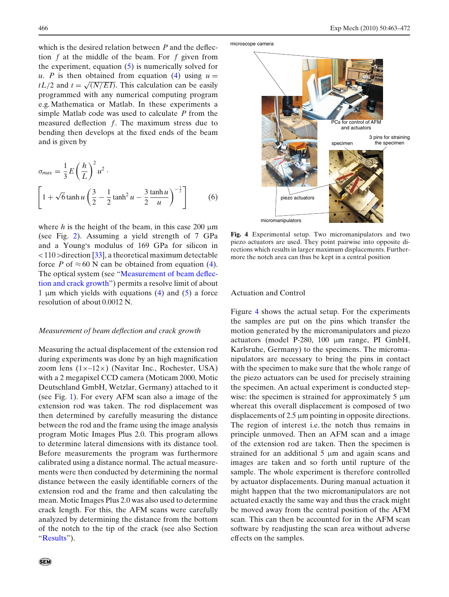which is the desired relation between *P* and the deflection *f* at the middle of the beam. For *f* given from the experiment, equation  $(5)$  is numerically solved for *u*. *P* is then obtained from equation [\(4\)](#page-3-0) using  $u =$ *tL*/2 and  $t = \sqrt{\frac{N/EI}{}}$ . This calculation can be easily programmed with any numerical computing program e.g. Mathematica or Matlab. In these experiments a simple Matlab code was used to calculate *P* from the measured deflection *f*. The maximum stress due to bending then develops at the fixed ends of the beam and is given by

$$
\sigma_{max} = \frac{1}{3} E\left(\frac{h}{L}\right)^2 u^2.
$$
\n
$$
\left[1 + \sqrt{6} \tanh u \left(\frac{3}{2} - \frac{1}{2} \tanh^2 u - \frac{3}{2} \frac{\tanh u}{u}\right)^{-\frac{1}{2}}\right]
$$
\n(6)

where *h* is the height of the beam, in this case 200  $\mu$ m (see Fig. [2\)](#page-2-0). Assuming a yield strength of 7 GPa and a Young's modulus of 169 GPa for silicon in  $<$  110 > direction [\[33\]](#page-10-0), a theoretical maximum detectable force *P* of  $\approx 60$  N can be obtained from equation [\(4\)](#page-3-0). The optical system (see "Measurement of beam deflection and crack growth") permits a resolve limit of about 1 μm which yields with equations  $(4)$  and  $(5)$  a force resolution of about 0.0012 N.

#### *Measurement of beam deflection and crack growth*

Measuring the actual displacement of the extension rod during experiments was done by an high magnification zoom lens  $(1 \times -12 \times)$  (Navitar Inc., Rochester, USA) with a 2 megapixel CCD camera (Moticam 2000, Motic Deutschland GmbH, Wetzlar, Germany) attached to it (see Fig. [1\)](#page-2-0). For every AFM scan also a image of the extension rod was taken. The rod displacement was then determined by carefully measuring the distance between the rod and the frame using the image analysis program Motic Images Plus 2.0. This program allows to determine lateral dimensions with its distance tool. Before measurements the program was furthermore calibrated using a distance normal. The actual measurements were then conducted by determining the normal distance between the easily identifiable corners of the extension rod and the frame and then calculating the mean. Motic Images Plus 2.0 was also used to determine crack length. For this, the AFM scans were carefully analyzed by determining the distance from the bottom of the notch to the tip of the crack (see also Section ["Results"](#page-5-0)).



**Fig. 4** Experimental setup. Two micromanipulators and two piezo actuators are used. They point pairwise into opposite directions which results in larger maximum displacements. Furthermore the notch area can thus be kept in a central position

#### Actuation and Control

Figure 4 shows the actual setup. For the experiments the samples are put on the pins which transfer the motion generated by the micromanipulators and piezo actuators (model P-280, 100 μm range, PI GmbH, Karlsruhe, Germany) to the specimens. The micromanipulators are necessary to bring the pins in contact with the specimen to make sure that the whole range of the piezo actuators can be used for precisely straining the specimen. An actual experiment is conducted stepwise: the specimen is strained for approximately 5  $\mu$ m whereat this overall displacement is composed of two displacements of 2.5 μm pointing in opposite directions. The region of interest i.e. the notch thus remains in principle unmoved. Then an AFM scan and a image of the extension rod are taken. Then the specimen is strained for an additional 5 μm and again scans and images are taken and so forth until rupture of the sample. The whole experiment is therefore controlled by actuator displacements. During manual actuation it might happen that the two micromanipulators are not actuated exactly the same way and thus the crack might be moved away from the central position of the AFM scan. This can then be accounted for in the AFM scan software by readjusting the scan area without adverse effects on the samples.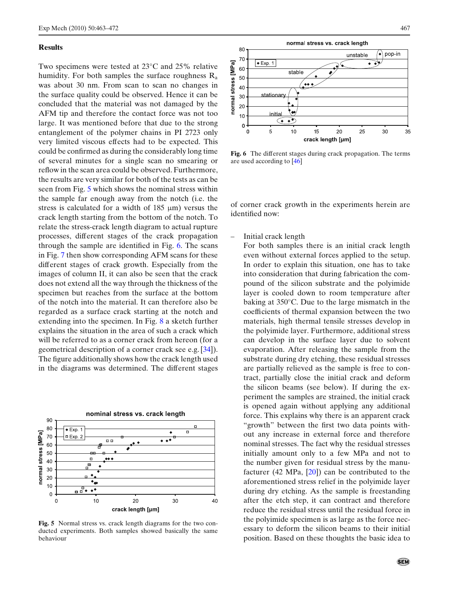#### <span id="page-5-0"></span>**Results**

Two specimens were tested at 23°C and 25% relative humidity. For both samples the surface roughness  $R_a$ was about 30 nm. From scan to scan no changes in the surface quality could be observed. Hence it can be concluded that the material was not damaged by the AFM tip and therefore the contact force was not too large. It was mentioned before that due to the strong entanglement of the polymer chains in PI 2723 only very limited viscous effects had to be expected. This could be confirmed as during the considerably long time of several minutes for a single scan no smearing or reflow in the scan area could be observed. Furthermore, the results are very similar for both of the tests as can be seen from Fig. 5 which shows the nominal stress within the sample far enough away from the notch (i.e. the stress is calculated for a width of  $185 \mu m$ ) versus the crack length starting from the bottom of the notch. To relate the stress-crack length diagram to actual rupture processes, different stages of the crack propagation through the sample are identified in Fig. 6. The scans in Fig. [7](#page-6-0) then show corresponding AFM scans for these different stages of crack growth. Especially from the images of column II, it can also be seen that the crack does not extend all the way through the thickness of the specimen but reaches from the surface at the bottom of the notch into the material. It can therefore also be regarded as a surface crack starting at the notch and extending into the specimen. In Fig. [8](#page-7-0) a sketch further explains the situation in the area of such a crack which will be referred to as a corner crack from hereon (for a geometrical description of a corner crack see e.g. [\[34](#page-10-0)]). The figure additionally shows how the crack length used in the diagrams was determined. The different stages



**Fig. 5** Normal stress vs. crack length diagrams for the two conducted experiments. Both samples showed basically the same behaviour



**Fig. 6** The different stages during crack propagation. The terms are used according to [\[46](#page-10-0)]

of corner crack growth in the experiments herein are identified now:

– Initial crack length

For both samples there is an initial crack length even without external forces applied to the setup. In order to explain this situation, one has to take into consideration that during fabrication the compound of the silicon substrate and the polyimide layer is cooled down to room temperature after baking at 350°C. Due to the large mismatch in the coefficients of thermal expansion between the two materials, high thermal tensile stresses develop in the polyimide layer. Furthermore, additional stress can develop in the surface layer due to solvent evaporation. After releasing the sample from the substrate during dry etching, these residual stresses are partially relieved as the sample is free to contract, partially close the initial crack and deform the silicon beams (see below). If during the experiment the samples are strained, the initial crack is opened again without applying any additional force. This explains why there is an apparent crack "growth" between the first two data points without any increase in external force and therefore nominal stresses. The fact why the residual stresses initially amount only to a few MPa and not to the number given for residual stress by the manufacturer (42 MPa,  $[20]$  $[20]$ ) can be contributed to the aforementioned stress relief in the polyimide layer during dry etching. As the sample is freestanding after the etch step, it can contract and therefore reduce the residual stress until the residual force in the polyimide specimen is as large as the force necessary to deform the silicon beams to their initial position. Based on these thoughts the basic idea to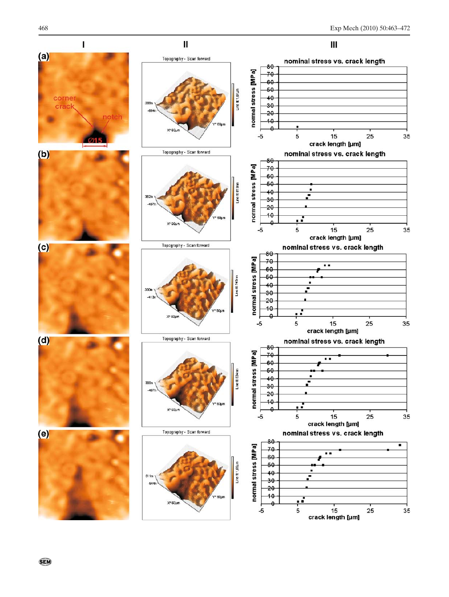<span id="page-6-0"></span>

΄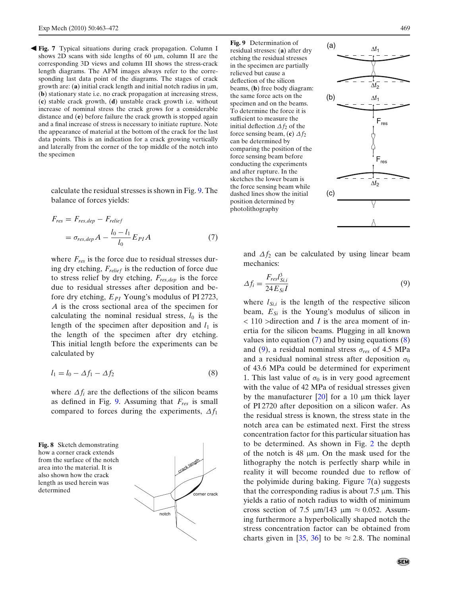<span id="page-7-0"></span>-**Fig. 7** Typical situations during crack propagation. Column I shows 2D scans with side lengths of 60 μm, column II are the corresponding 3D views and column III shows the stress-crack length diagrams. The AFM images always refer to the corresponding last data point of the diagrams. The stages of crack growth are: (**a**) initial crack length and initial notch radius in μm, (**b**) stationary state i.e. no crack propagation at increasing stress, (**c**) stable crack growth, (**d**) unstable crack growth i.e. without increase of nominal stress the crack grows for a considerable distance and (**e**) before failure the crack growth is stopped again and a final increase of stress is necessary to initiate rupture. Note the appearance of material at the bottom of the crack for the last data points. This is an indication for a crack growing vertically and laterally from the corner of the top middle of the notch into the specimen

> calculate the residual stresses is shown in Fig. 9. The balance of forces yields:

$$
F_{res} = F_{res,dep} - F_{relief}
$$
  
=  $\sigma_{res,dep} A - \frac{l_0 - l_1}{l_0} E_{PI} A$  (7)

where  $F_{res}$  is the force due to residual stresses during dry etching, *Frelief* is the reduction of force due to stress relief by dry etching, *Fres*,*dep* is the force due to residual stresses after deposition and before dry etching, *EPI* Young's modulus of PI 2723, *A* is the cross sectional area of the specimen for calculating the nominal residual stress,  $l_0$  is the length of the specimen after deposition and  $l_1$  is the length of the specimen after dry etching. This initial length before the experiments can be calculated by

$$
l_1 = l_0 - \Delta f_1 - \Delta f_2 \tag{8}
$$

where  $\Delta f_i$  are the deflections of the silicon beams as defined in Fig. 9. Assuming that *Fres* is small compared to forces during the experiments,  $\Delta f_1$ 

**Fig. 8** Sketch demonstrating how a corner crack extends from the surface of the notch area into the material. It is also shown how the crack length as used herein was determined



**Fig. 9** Determination of residual stresses: (**a**) after dry etching the residual stresses in the specimen are partially relieved but cause a deflection of the silicon beams, (**b**) free body diagram: the same force acts on the specimen and on the beams. To determine the force it is sufficient to measure the initial deflection  $\Delta f_2$  of the force sensing beam, (c)  $\Delta f_2$ can be determined by comparing the position of the force sensing beam before conducting the experiments and after rupture. In the sketches the lower beam is the force sensing beam while dashed lines show the initial position determined by photolithography



and  $\Delta f_2$  can be calculated by using linear beam mechanics:

$$
\Delta f_i = \frac{F_{res} l_{Si,i}^3}{24 E_{Si} I} \tag{9}
$$

where  $l_{Si,i}$  is the length of the respective silicon beam,  $E_{Si}$  is the Young's modulus of silicon in < 110 >direction and *I* is the area moment of inertia for the silicon beams. Plugging in all known values into equation  $(7)$  and by using equations  $(8)$ and (9), a residual nominal stress  $\sigma_{res}$  of 4.5 MPa and a residual nominal stress after deposition  $\sigma_0$ of 43.6 MPa could be determined for experiment 1. This last value of  $\sigma_0$  is in very good agreement with the value of 42 MPa of residual stresses given by the manufacturer  $[20]$  for a 10  $\mu$ m thick layer of PI 2720 after deposition on a silicon wafer. As the residual stress is known, the stress state in the notch area can be estimated next. First the stress concentration factor for this particular situation has to be determined. As shown in Fig. [2](#page-2-0) the depth of the notch is 48 μm. On the mask used for the lithography the notch is perfectly sharp while in reality it will become rounded due to reflow of the polyimide during baking. Figure  $7(a)$  $7(a)$  suggests that the corresponding radius is about 7.5 μm. This yields a ratio of notch radius to width of minimum cross section of 7.5  $\mu$ m/143  $\mu$ m  $\approx$  0.052. Assuming furthermore a hyperbolically shaped notch the stress concentration factor can be obtained from charts given in [\[35](#page-10-0), [36\]](#page-10-0) to be  $\approx$  2.8. The nominal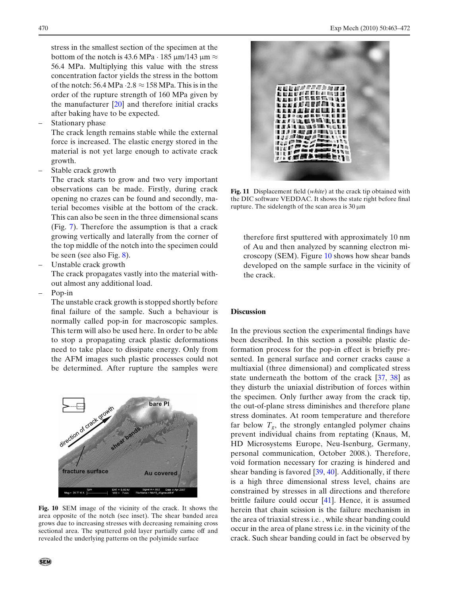<span id="page-8-0"></span>stress in the smallest section of the specimen at the bottom of the notch is 43.6 MPa  $\cdot$  185 μm/143 μm  $\approx$ 56.4 MPa. Multiplying this value with the stress concentration factor yields the stress in the bottom of the notch: 56.4 MPa  $\cdot$  2.8  $\approx$  158 MPa. This is in the order of the rupture strength of 160 MPa given by the manufacturer [\[20\]](#page-10-0) and therefore initial cracks after baking have to be expected.

Stationary phase

The crack length remains stable while the external force is increased. The elastic energy stored in the material is not yet large enough to activate crack growth.

– Stable crack growth

The crack starts to grow and two very important observations can be made. Firstly, during crack opening no crazes can be found and secondly, material becomes visible at the bottom of the crack. This can also be seen in the three dimensional scans (Fig. [7\)](#page-6-0). Therefore the assumption is that a crack growing vertically and laterally from the corner of the top middle of the notch into the specimen could be seen (see also Fig. [8\)](#page-7-0).

– Unstable crack growth

The crack propagates vastly into the material without almost any additional load.

– Pop-in

The unstable crack growth is stopped shortly before final failure of the sample. Such a behaviour is normally called pop-in for macroscopic samples. This term will also be used here. In order to be able to stop a propagating crack plastic deformations need to take place to dissipate energy. Only from the AFM images such plastic processes could not be determined. After rupture the samples were



**Fig. 10** SEM image of the vicinity of the crack. It shows the area opposite of the notch (see inset). The shear banded area grows due to increasing stresses with decreasing remaining cross sectional area. The sputtered gold layer partially came off and revealed the underlying patterns on the polyimide surface



**Fig. 11** Displacement field (*white*) at the crack tip obtained with the DIC software VEDDAC. It shows the state right before final rupture. The sidelength of the scan area is  $30 \mu m$ 

therefore first sputtered with approximately 10 nm of Au and then analyzed by scanning electron microscopy (SEM). Figure 10 shows how shear bands developed on the sample surface in the vicinity of the crack.

#### **Discussion**

In the previous section the experimental findings have been described. In this section a possible plastic deformation process for the pop-in effect is briefly presented. In general surface and corner cracks cause a multiaxial (three dimensional) and complicated stress state underneath the bottom of the crack [\[37](#page-10-0), [38\]](#page-10-0) as they disturb the uniaxial distribution of forces within the specimen. Only further away from the crack tip, the out-of-plane stress diminishes and therefore plane stress dominates. At room temperature and therefore far below  $T_g$ , the strongly entangled polymer chains prevent individual chains from reptating (Knaus, M, HD Microsystems Europe, Neu-Isenburg, Germany, personal communication, October 2008.). Therefore, void formation necessary for crazing is hindered and shear banding is favored [\[39,](#page-10-0) [40\]](#page-10-0). Additionally, if there is a high three dimensional stress level, chains are constrained by stresses in all directions and therefore brittle failure could occur [\[41\]](#page-10-0). Hence, it is assumed herein that chain scission is the failure mechanism in the area of triaxial stress i.e. , while shear banding could occur in the area of plane stress i.e. in the vicinity of the crack. Such shear banding could in fact be observed by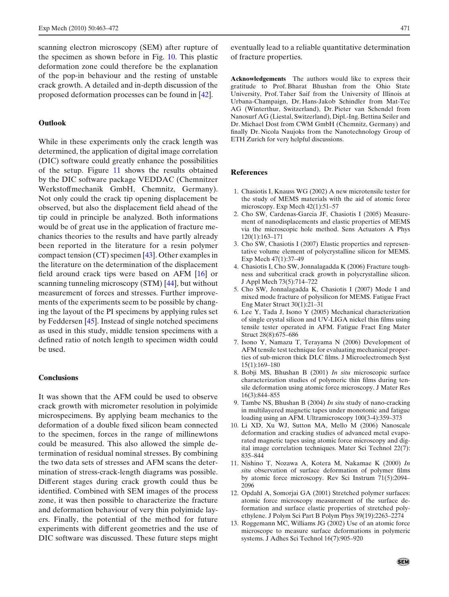<span id="page-9-0"></span>scanning electron microscopy (SEM) after rupture of the specimen as shown before in Fig. [10.](#page-8-0) This plastic deformation zone could therefore be the explanation of the pop-in behaviour and the resting of unstable crack growth. A detailed and in-depth discussion of the proposed deformation processes can be found in [\[42\]](#page-10-0).

#### **Outlook**

While in these experiments only the crack length was determined, the application of digital image correlation (DIC) software could greatly enhance the possibilities of the setup. Figure [11](#page-8-0) shows the results obtained by the DIC software package VEDDAC (Chemnitzer Werkstoffmechanik GmbH, Chemnitz, Germany). Not only could the crack tip opening displacement be observed, but also the displacement field ahead of the tip could in principle be analyzed. Both informations would be of great use in the application of fracture mechanics theories to the results and have partly already been reported in the literature for a resin polymer compact tension (CT) specimen [\[43\]](#page-10-0). Other examples in the literature on the determination of the displacement field around crack tips were based on AFM [\[16\]](#page-10-0) or scanning tunneling microscopy (STM) [\[44](#page-10-0)], but without measurement of forces and stresses. Further improvements of the experiments seem to be possible by changing the layout of the PI specimens by applying rules set by Feddersen [\[45](#page-10-0)]. Instead of single notched specimens as used in this study, middle tension specimens with a defined ratio of notch length to specimen width could be used.

#### **Conclusions**

It was shown that the AFM could be used to observe crack growth with micrometer resolution in polyimide microspecimens. By applying beam mechanics to the deformation of a double fixed silicon beam connected to the specimen, forces in the range of millinewtons could be measured. This also allowed the simple determination of residual nominal stresses. By combining the two data sets of stresses and AFM scans the determination of stress-crack-length diagrams was possible. Different stages during crack growth could thus be identified. Combined with SEM images of the process zone, it was then possible to characterize the fracture and deformation behaviour of very thin polyimide layers. Finally, the potential of the method for future experiments with different geometries and the use of DIC software was discussed. These future steps might

eventually lead to a reliable quantitative determination of fracture properties.

**Acknowledgements** The authors would like to express their gratitude to Prof. Bharat Bhushan from the Ohio State University, Prof. Taher Saif from the University of Illinois at Urbana-Champaign, Dr. Hans-Jakob Schindler from Mat-Tec AG (Winterthur, Switzerland), Dr. Pieter van Schendel from Nanosurf AG (Liestal, Switzerland), Dipl.-Ing. Bettina Seiler and Dr. Michael Dost from CWM GmbH (Chemnitz, Germany) and finally Dr. Nicola Naujoks from the Nanotechnology Group of ETH Zurich for very helpful discussions.

#### **References**

- 1. Chasiotis I, Knauss WG (2002) A new microtensile tester for the study of MEMS materials with the aid of atomic force microscopy. Exp Mech 42(1):51–57
- 2. Cho SW, Cardenas-Garcia JF, Chasiotis I (2005) Measurement of nanodisplacements and elastic properties of MEMS via the microscopic hole method. Sens Actuators A Phys 120(1):163–171
- 3. Cho SW, Chasiotis I (2007) Elastic properties and representative volume element of polycrystalline silicon for MEMS. Exp Mech 47(1):37–49
- 4. Chasiotis I, Cho SW, Jonnalagadda K (2006) Fracture toughness and subcritical crack growth in polycrystalline silicon. J Appl Mech 73(5):714–722
- 5. Cho SW, Jonnalagadda K, Chasiotis I (2007) Mode I and mixed mode fracture of polysilicon for MEMS. Fatigue Fract Eng Mater Struct 30(1):21–31
- 6. Lee Y, Tada J, Isono Y (2005) Mechanical characterization of single crystal silicon and UV-LIGA nickel thin films using tensile tester operated in AFM. Fatigue Fract Eng Mater Struct 28(8):675–686
- 7. Isono Y, Namazu T, Terayama N (2006) Development of AFM tensile test technique for evaluating mechanical properties of sub-micron thick DLC films. J Microelectromech Syst 15(1):169–180
- 8. Bobji MS, Bhushan B (2001) *In situ* microscopic surface characterization studies of polymeric thin films during tensile deformation using atomic force microscopy. J Mater Res 16(3):844–855
- 9. Tambe NS, Bhushan B (2004) *In situ* study of nano-cracking in multilayered magnetic tapes under monotonic and fatigue loading using an AFM. Ultramicroscopy 100(3-4):359–373
- 10. Li XD, Xu WJ, Sutton MA, Mello M (2006) Nanoscale deformation and cracking studies of advanced metal evaporated magnetic tapes using atomic force microscopy and digital image correlation techniques. Mater Sci Technol 22(7): 835–844
- 11. Nishino T, Nozawa A, Kotera M, Nakamae K (2000) *In situ* observation of surface deformation of polymer films by atomic force microscopy. Rev Sci Instrum 71(5):2094– 2096
- 12. Opdahl A, Somorjai GA (2001) Stretched polymer surfaces: atomic force microscopy measurement of the surface deformation and surface elastic properties of stretched polyethylene. J Polym Sci Part B Polym Phys 39(19):2263–2274
- 13. Roggemann MC, Williams JG (2002) Use of an atomic force microscope to measure surface deformations in polymeric systems. J Adhes Sci Technol 16(7):905–920